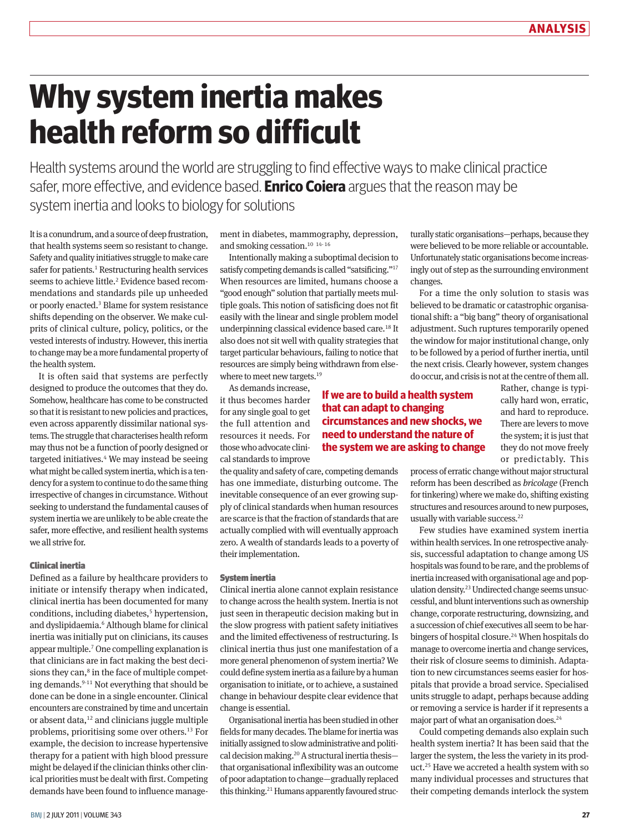# **Why system inertia makes health reform so difficult**

Health systems around the world are struggling to find effective ways to make clinical practice safer, more effective, and evidence based. **Enrico Coiera** argues that the reason may be system inertia and looks to biology for solutions

It is a conundrum, and a source of deep frustration, that health systems seem so resistant to change. Safety and quality initiatives struggle to make care safer for patients.<sup>1</sup> Restructuring health services seems to achieve little.<sup>2</sup> Evidence based recommendations and standards pile up unheeded or poorly enacted.<sup>3</sup> Blame for system resistance shifts depending on the observer. We make culprits of clinical culture, policy, politics, or the vested interests of industry. However, this inertia to change may be a more fundamental property of the health system.

It is often said that systems are perfectly designed to produce the outcomes that they do. Somehow, healthcare has come to be constructed so that it is resistant to new policies and practices, even across apparently dissimilar national systems. The struggle that characterises health reform may thus not be a function of poorly designed or targeted initiatives.<sup>4</sup> We may instead be seeing what might be called system inertia, which is a tendency for a system to continue to do the same thing irrespective of changes in circumstance. Without seeking to understand the fundamental causes of system inertia we are unlikely to be able create the safer, more effective, and resilient health systems we all strive for.

# Clinical inertia

Defined as a failure by healthcare providers to initiate or intensify therapy when indicated, clinical inertia has been documented for many conditions, including diabetes,<sup>5</sup> hypertension, and dyslipidaemia.<sup>6</sup> Although blame for clinical inertia was initially put on clinicians, its causes appear multiple.7 One compelling explanation is that clinicians are in fact making the best decisions they can, $8$  in the face of multiple competing demands.<sup>9-11</sup> Not everything that should be done can be done in a single encounter. Clinical encounters are constrained by time and uncertain or absent data, $12$  and clinicians juggle multiple problems, prioritising some over others.13 For example, the decision to increase hypertensive therapy for a patient with high blood pressure might be delayed if the clinician thinks other clinical priorities must be dealt with first. Competing demands have been found to influence management in diabetes, mammography, depression, and smoking cessation.<sup>10</sup><sup>14-16</sup>

Intentionally making a suboptimal decision to satisfy competing demands is called "satsificing."17 When resources are limited, humans choose a "good enough" solution that partially meets mul‑ tiple goals. This notion of satisficing does not fit easily with the linear and single problem model underpinning classical evidence based care.18 It also does not sit well with quality strategies that target particular behaviours, failing to notice that resources are simply being withdrawn from elsewhere to meet new targets.<sup>19</sup>

> **If we are to build a health system that can adapt to changing**

**circumstances and new shocks, we need to understand the nature of the system we are asking to change**

As demands increase, it thus becomes harder for any single goal to get the full attention and resources it needs. For those who advocate clinical standards to improve

the quality and safety of care, competing demands has one immediate, disturbing outcome. The inevitable consequence of an ever growing supply of clinical standards when human resources are scarce is that the fraction of standards that are actually complied with will eventually approach zero. A wealth of standards leads to a poverty of their implementation.

# System inertia

Clinical inertia alone cannot explain resistance to change across the health system. Inertia is not just seen in therapeutic decision making but in the slow progress with patient safety initiatives and the limited effectiveness of restructuring. Is clinical inertia thus just one manifestation of a more general phenomenon of system inertia? We could define system inertia as a failure by a human organisation to initiate, or to achieve, a sustained change in behaviour despite clear evidence that change is essential.

Organisational inertia has been studied in other fields for many decades. The blame for inertia was initially assigned to slow administrative and political decision making.20 A structural inertia thesis that organisational inflexibility was an outcome of poor adaptation to change—gradually replaced this thinking.<sup>21</sup> Humans apparently favoured structurally static organisations—perhaps, because they were believed to be more reliable or accountable. Unfortunately static organisations become increasingly out of step as the surrounding environment changes.

For a time the only solution to stasis was believed to be dramatic or catastrophic organisational shift: a "big bang" theory of organisational adjustment. Such ruptures temporarily opened the window for major institutional change, only to be followed by a period of further inertia, until the next crisis. Clearly however, system changes do occur, and crisis is not at the centre of them all.

Rather, change is typically hard won, erratic, and hard to reproduce. There are levers to move the system; it is just that they do not move freely or predictably. This

process of erratic change without major structural reform has been described as *bricolage* (French for tinkering) where we make do, shifting existing structures and resources around to new purposes, usually with variable success.<sup>22</sup>

Few studies have examined system inertia within health services. In one retrospective analysis, successful adaptation to change among US hospitals was found to be rare, and the problems of inertia increased with organisational age and population density.<sup>23</sup> Undirected change seems unsuccessful, and blunt interventions such as ownership change, corporate restructuring, downsizing, and a succession of chief executives all seem to be harbingers of hospital closure.<sup>24</sup> When hospitals do manage to overcome inertia and change services, their risk of closure seems to diminish. Adaptation to new circumstances seems easier for hospitals that provide a broad service. Specialised units struggle to adapt, perhaps because adding or removing a service is harder if it represents a major part of what an organisation does.<sup>24</sup>

Could competing demands also explain such health system inertia? It has been said that the larger the system, the less the variety in its product.25 Have we accreted a health system with so many individual processes and structures that their competing demands interlock the system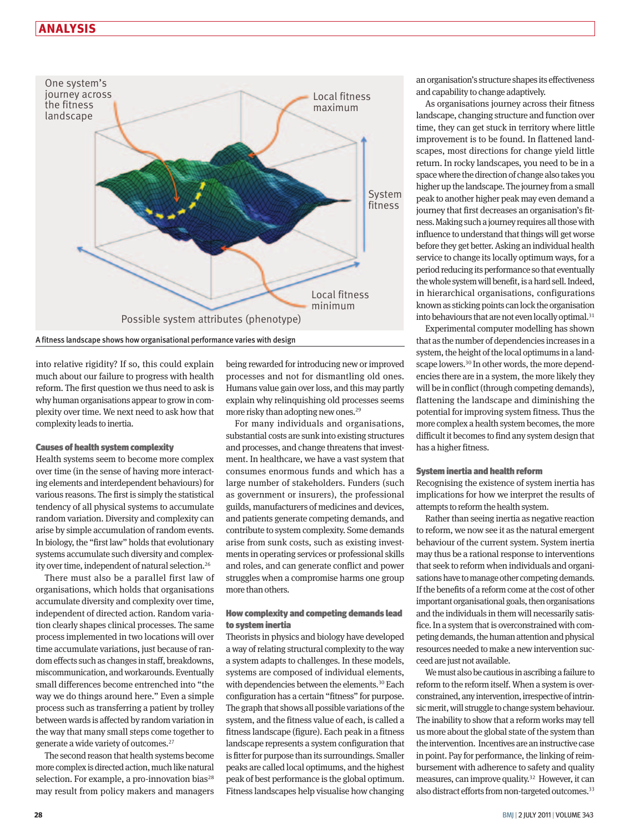# **ANALYSIS**



into relative rigidity? If so, this could explain much about our failure to progress with health reform. The first question we thus need to ask is why human organisations appear to grow in complexity over time. We next need to ask how that complexity leads to inertia.

### Causes of health system complexity

Health systems seem to become more complex over time (in the sense of having more interacting elements and interdependent behaviours) for various reasons. The first is simply the statistical tendency of all physical systems to accumulate random variation. Diversity and complexity can arise by simple accumulation of random events. In biology, the "first law" holds that evolutionary systems accumulate such diversity and complexity over time, independent of natural selection.<sup>26</sup>

There must also be a parallel first law of organisations, which holds that organisations accumulate diversity and complexity over time, independent of directed action. Random variation clearly shapes clinical processes. The same process implemented in two locations will over time accumulate variations, just because of random effects such as changes in staff, breakdowns, miscommunication, and workarounds. Eventually small differences become entrenched into "the way we do things around here." Even a simple process such as transferring a patient by trolley between wards is affected by random variation in the way that many small steps come together to generate a wide variety of outcomes.27

The second reason that health systems become more complex is directed action, much like natural selection. For example, a pro-innovation bias<sup>28</sup> may result from policy makers and managers

being rewarded for introducing new or improved processes and not for dismantling old ones. Humans value gain over loss, and this may partly explain why relinquishing old processes seems more risky than adopting new ones.<sup>29</sup>

For many individuals and organisations, substantial costs are sunk into existing structures and processes, and change threatens that investment. In healthcare, we have a vast system that consumes enormous funds and which has a large number of stakeholders. Funders (such as government or insurers), the professional guilds, manufacturers of medicines and devices, and patients generate competing demands, and contribute to system complexity. Some demands arise from sunk costs, such as existing investments in operating services or professional skills and roles, and can generate conflict and power struggles when a compromise harms one group more than others.

# How complexity and competing demands lead to system inertia

Theorists in physics and biology have developed a way of relating structural complexity to the way a system adapts to challenges. In these models, systems are composed of individual elements, with dependencies between the elements.<sup>30</sup> Each configuration has a certain "fitness" for purpose. The graph that shows all possible variations of the system, and the fitness value of each, is called a fitness landscape (figure). Each peak in a fitness landscape represents a system configuration that is fitter for purpose than its surroundings. Smaller peaks are called local optimums, and the highest peak of best performance is the global optimum. Fitness landscapes help visualise how changing an organisation's structure shapes its effectiveness and capability to change adaptively.

As organisations journey across their fitness landscape, changing structure and function over time, they can get stuck in territory where little improvement is to be found. In flattened landscapes, most directions for change yield little return. In rocky landscapes, you need to be in a space where the direction of change also takes you higher up the landscape. The journey from a small peak to another higher peak may even demand a journey that first decreases an organisation's fitness. Making such a journey requires all those with influence to understand that things will get worse before they get better. Asking an individual health service to change its locally optimum ways, for a period reducing its performance so that eventually the whole system will benefit, is a hard sell. Indeed, in hierarchical organisations, configurations known as sticking points can lock the organisation into behaviours that are not even locally optimal.<sup>31</sup>

Experimental computer modelling has shown that as the number of dependencies increases in a system, the height of the local optimums in a landscape lowers.<sup>30</sup> In other words, the more dependencies there are in a system, the more likely they will be in conflict (through competing demands), flattening the landscape and diminishing the potential for improving system fitness. Thus the more complex a health system becomes, the more difficult it becomes to find any system design that has a higher fitness.

#### System inertia and health reform

Recognising the existence of system inertia has implications for how we interpret the results of attempts to reform the health system.

Rather than seeing inertia as negative reaction to reform, we now see it as the natural emergent behaviour of the current system. System inertia may thus be a rational response to interventions that seek to reform when individuals and organisations have to manage other competing demands. If the benefits of a reform come at the cost of other important organisational goals, then organisations and the individuals in them will necessarily satisfice. In a system that is overconstrained with competing demands, the human attention and physical resources needed to make a new intervention succeed are just not available.

We must also be cautious in ascribing a failure to reform to the reform itself. When a system is overconstrained, any intervention, irrespective of intrinsic merit, will struggle to change system behaviour. The inability to show that a reform works may tell us more about the global state of the system than the intervention. Incentives are an instructive case in point. Pay for performance, the linking of reimbursement with adherence to safety and quality measures, can improve quality.32 However, it can also distract efforts from non-targeted outcomes.<sup>33</sup>